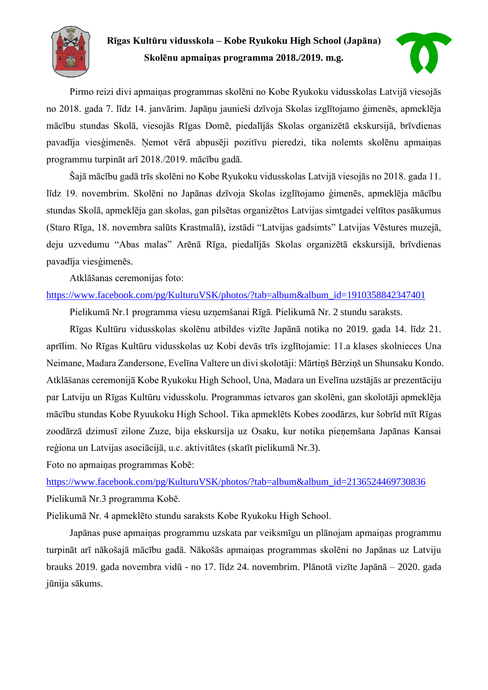

# **Rīgas Kultūru vidusskola – Kobe Ryukoku High School (Japāna) Skolēnu apmaiņas programma 2018./2019. m.g.**



Pirmo reizi divi apmaiņas programmas skolēni no Kobe Ryukoku vidusskolas Latvijā viesojās no 2018. gada 7. līdz 14. janvārim. Japāņu jaunieši dzīvoja Skolas izglītojamo ģimenēs, apmeklēja mācību stundas Skolā, viesojās Rīgas Domē, piedalījās Skolas organizētā ekskursijā, brīvdienas pavadīja viesģimenēs. Ņemot vērā abpusēji pozitīvu pieredzi, tika nolemts skolēnu apmaiņas programmu turpināt arī 2018./2019. mācību gadā.

Šajā mācību gadā trīs skolēni no Kobe Ryukoku vidusskolas Latvijā viesojās no 2018. gada 11. līdz 19. novembrim. Skolēni no Japānas dzīvoja Skolas izglītojamo ģimenēs, apmeklēja mācību stundas Skolā, apmeklēja gan skolas, gan pilsētas organizētos Latvijas simtgadei veltītos pasākumus (Staro Rīga, 18. novembra salūts Krastmalā), izstādi "Latvijas gadsimts" Latvijas Vēstures muzejā, deju uzvedumu "Abas malas" Arēnā Rīga, piedalījās Skolas organizētā ekskursijā, brīvdienas pavadīja viesģimenēs.

Atklāšanas ceremonijas foto:

### [https://www.facebook.com/pg/KulturuVSK/photos/?tab=album&album\\_id=1910358842347401](https://www.facebook.com/pg/KulturuVSK/photos/?tab=album&album_id=1910358842347401)

Pielikumā Nr.1 programma viesu uzņemšanai Rīgā. Pielikumā Nr. 2 stundu saraksts.

Rīgas Kultūru vidusskolas skolēnu atbildes vizīte Japānā notika no 2019. gada 14. līdz 21. aprīlim. No Rīgas Kultūru vidusskolas uz Kobi devās trīs izglītojamie: 11.a klases skolnieces Una Neimane, Madara Zandersone, Evelīna Valtere un divi skolotāji: Mārtiņš Bērziņš un Shunsaku Kondo. Atklāšanas ceremonijā Kobe Ryukoku High School, Una, Madara un Evelīna uzstājās ar prezentāciju par Latviju un Rīgas Kultūru vidusskolu. Programmas ietvaros gan skolēni, gan skolotāji apmeklēja mācību stundas Kobe Ryuukoku High School. Tika apmeklēts Kobes zoodārzs, kur šobrīd mīt Rīgas zoodārzā dzimusī zilone Zuze, bija ekskursija uz Osaku, kur notika pieņemšana Japānas Kansai reģiona un Latvijas asociācijā, u.c. aktivitātes (skatīt pielikumā Nr.3).

Foto no apmaiņas programmas Kobē:

[https://www.facebook.com/pg/KulturuVSK/photos/?tab=album&album\\_id=2136524469730836](https://www.facebook.com/pg/KulturuVSK/photos/?tab=album&album_id=2136524469730836) Pielikumā Nr.3 programma Kobē.

Pielikumā Nr. 4 apmeklēto stundu saraksts Kobe Ryukoku High School.

Japānas puse apmaiņas programmu uzskata par veiksmīgu un plānojam apmaiņas programmu turpināt arī nākošajā mācību gadā. Nākošās apmaiņas programmas skolēni no Japānas uz Latviju brauks 2019. gada novembra vidū - no 17. līdz 24. novembrim. Plānotā vizīte Japānā – 2020. gada jūnija sākums.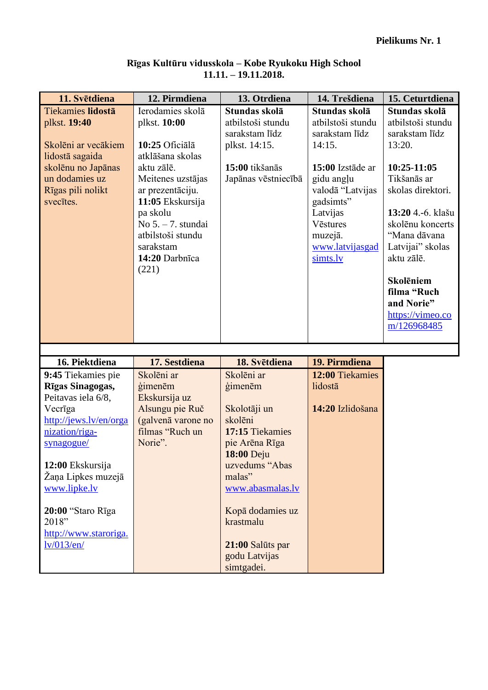| 11. Svētdiena            | 12. Pirmdiena        | 13. Otrdiena        | 14. Trešdiena     | 15. Ceturtdiena   |
|--------------------------|----------------------|---------------------|-------------------|-------------------|
| <b>Tiekamies lidostā</b> | Ierodamies skolā     | Stundas skolā       | Stundas skolā     | Stundas skolā     |
| plkst. 19:40             | plkst. 10:00         | atbilstoši stundu   | atbilstoši stundu | atbilstoši stundu |
|                          |                      | sarakstam līdz      | sarakstam līdz    | sarakstam līdz    |
| Skolēni ar vecākiem      | 10:25 Oficiālā       | plkst. 14:15.       | 14:15.            | 13:20.            |
| lidostā sagaida          | atklāšana skolas     |                     |                   |                   |
| skolēnu no Japānas       | aktu zālē.           | 15:00 tikšanās      | 15:00 Izstāde ar  | $10:25-11:05$     |
| un dodamies uz           | Meitenes uzstājas    | Japānas vēstniecībā | gidu angļu        | Tikšanās ar       |
| Rīgas pili nolikt        | ar prezentāciju.     |                     | valodā "Latvijas  | skolas direktori. |
| svectes.                 | 11:05 Ekskursija     |                     | gadsimts"         |                   |
|                          | pa skolu             |                     | Latvijas          | 13:20 4.-6. klašu |
|                          | No $5. - 7.$ stundai |                     | Vēstures          | skolēnu koncerts  |
|                          | atbilstoši stundu    |                     | muzejā.           | "Mana dāvana      |
|                          | sarakstam            |                     | www.latvijasgad   | Latvijai" skolas  |
|                          | 14:20 Darbnīca       |                     | simts.lv          | aktu zālē.        |
|                          | (221)                |                     |                   |                   |
|                          |                      |                     |                   | <b>Skolēniem</b>  |
|                          |                      |                     |                   | filma "Ruch       |
|                          |                      |                     |                   | and Norie"        |
|                          |                      |                     |                   | https://vimeo.co  |
|                          |                      |                     |                   | m/126968485       |
|                          |                      |                     |                   |                   |

### **Rīgas Kultūru vidusskola – Kobe Ryukoku High School 11.11. – 19.11.2018.**

| 16. Piektdiena         | 17. Sestdiena      | 18. Svētdiena    | 19. Pirmdiena    |
|------------------------|--------------------|------------------|------------------|
| 9:45 Tiekamies pie     | Skolēni ar         | Skolēni ar       | 12:00 Tiekamies  |
| Rīgas Sinagogas,       | gimenēm            | gimenēm          | lidostā          |
| Peitavas iela 6/8,     | Ekskursija uz      |                  |                  |
| Vecriga                | Alsungu pie Ruč    | Skolotāji un     | 14:20 Izlidošana |
| http://jews.lv/en/orga | (galvenā varone no | skolēni          |                  |
| nization/riga-         | filmas "Ruch un    | 17:15 Tiekamies  |                  |
| synagogue/             | Norie".            | pie Arēna Rīga   |                  |
|                        |                    | 18:00 Deju       |                  |
| 12:00 Ekskursija       |                    | uzvedums "Abas   |                  |
| Žaņa Lipkes muzejā     |                    | malas"           |                  |
| www.lipke.lv           |                    | www.abasmalas.lv |                  |
|                        |                    |                  |                  |
| $20:00$ "Staro Rīga    |                    | Kopā dodamies uz |                  |
| 2018"                  |                    | krastmalu        |                  |
| http://www.staroriga.  |                    |                  |                  |
| lv/013/en/             |                    | 21:00 Salūts par |                  |
|                        |                    | godu Latvijas    |                  |
|                        |                    | simtgadei.       |                  |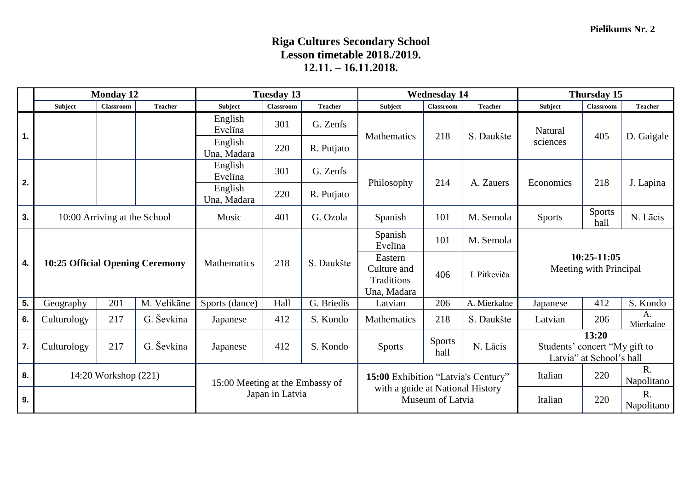## **Riga Cultures Secondary School Lesson timetable 2018./2019. 12.11. – 16.11.2018.**

|    | <b>Monday 12</b>     |                                 | <b>Tuesday 13</b>               |                        | <b>Wednesday 14</b>              |                                     |                                                     | Thursday 15           |                |                                                                    |                                       |                 |  |  |
|----|----------------------|---------------------------------|---------------------------------|------------------------|----------------------------------|-------------------------------------|-----------------------------------------------------|-----------------------|----------------|--------------------------------------------------------------------|---------------------------------------|-----------------|--|--|
|    | Subject              | Classroom                       | <b>Teacher</b>                  | Subject                | Classroom                        | <b>Teacher</b>                      | Subject                                             | <b>Classroom</b>      | <b>Teacher</b> | Subject                                                            | Classroom                             | <b>Teacher</b>  |  |  |
| 1. |                      |                                 | English<br>Evelīna              | 301                    | G. Zenfs                         | <b>Mathematics</b>                  | 218                                                 | S. Daukšte            | Natural        | 405                                                                | D. Gaigale                            |                 |  |  |
|    |                      |                                 |                                 | English<br>Una, Madara | 220                              | R. Putjato                          |                                                     |                       |                | sciences                                                           |                                       |                 |  |  |
| 2. |                      |                                 |                                 | English<br>Evelīna     | 301                              | G. Zenfs                            | Philosophy                                          | 214                   | A. Zauers      | Economics                                                          | 218                                   | J. Lapina       |  |  |
|    |                      |                                 |                                 | English<br>Una, Madara | 220                              | R. Putjato                          |                                                     |                       |                |                                                                    |                                       |                 |  |  |
| 3. |                      | 10:00 Arriving at the School    |                                 | Music                  | 401                              | G. Ozola                            | Spanish                                             | 101                   | M. Semola      | <b>Sports</b>                                                      | <b>Sports</b><br>hall                 | N. Lācis        |  |  |
|    |                      |                                 |                                 |                        |                                  | Spanish<br>Evelīna                  | 101                                                 | M. Semola             |                |                                                                    |                                       |                 |  |  |
| 4. |                      | 10:25 Official Opening Ceremony |                                 | <b>Mathematics</b>     | 218                              | S. Daukšte                          | Eastern<br>Culture and<br>Traditions<br>Una, Madara | 406                   | I. Pitkeviča   |                                                                    | 10:25-11:05<br>Meeting with Principal |                 |  |  |
| 5. | Geography            | 201                             | M. Velikāne                     | Sports (dance)         | Hall                             | G. Briedis                          | Latvian                                             | 206                   | A. Mierkalne   | Japanese                                                           | 412                                   | S. Kondo        |  |  |
| 6. | Culturology          | 217                             | G. Ševkina                      | Japanese               | 412                              | S. Kondo                            | Mathematics                                         | 218                   | S. Daukšte     | Latvian                                                            | 206                                   | A.<br>Mierkalne |  |  |
| 7. | Culturology          | 217                             | G. Ševkina                      | Japanese               | 412                              | S. Kondo                            | <b>Sports</b>                                       | <b>Sports</b><br>hall | N. Lācis       | 13:20<br>Students' concert "My gift to<br>Latvia" at School's hall |                                       |                 |  |  |
| 8. | 14:20 Workshop (221) |                                 | 15:00 Meeting at the Embassy of |                        |                                  | 15:00 Exhibition "Latvia's Century" |                                                     |                       | 220<br>Italian | $R_{\cdot}$<br>Napolitano                                          |                                       |                 |  |  |
| 9. |                      | Japan in Latvia                 |                                 |                        | with a guide at National History | Museum of Latvia                    |                                                     | Italian               | 220            | R.<br>Napolitano                                                   |                                       |                 |  |  |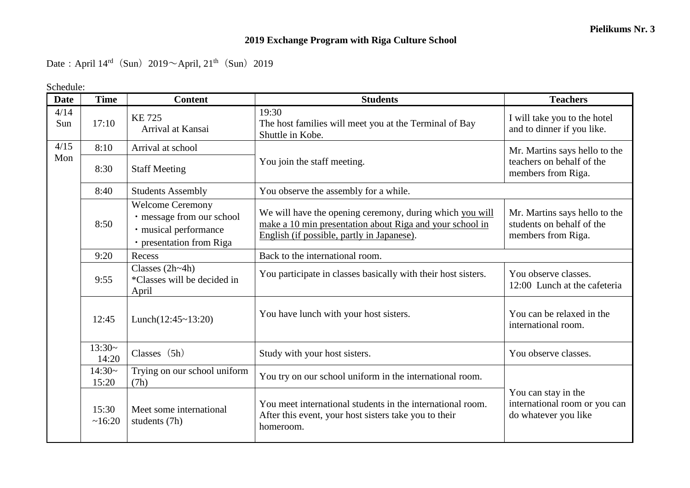## **2019 Exchange Program with Riga Culture School**

Date: April  $14^{\text{rd}}$  (Sun)  $2019 \sim$  April,  $21^{\text{th}}$  (Sun) 2019

Schedule:

| <b>Date</b> | <b>Time</b>       | <b>Content</b>                                                                                            | <b>Students</b>                                                                                                                                                    | <b>Teachers</b>                                                                  |  |  |
|-------------|-------------------|-----------------------------------------------------------------------------------------------------------|--------------------------------------------------------------------------------------------------------------------------------------------------------------------|----------------------------------------------------------------------------------|--|--|
| 4/14<br>Sun | 17:10             | <b>KE725</b><br>Arrival at Kansai                                                                         | 19:30<br>The host families will meet you at the Terminal of Bay<br>Shuttle in Kobe.                                                                                | I will take you to the hotel<br>and to dinner if you like.                       |  |  |
| 4/15        | 8:10              | Arrival at school                                                                                         |                                                                                                                                                                    | Mr. Martins says hello to the                                                    |  |  |
| Mon         | 8:30              | <b>Staff Meeting</b>                                                                                      | You join the staff meeting.                                                                                                                                        | teachers on behalf of the<br>members from Riga.                                  |  |  |
|             | 8:40              | <b>Students Assembly</b>                                                                                  | You observe the assembly for a while.                                                                                                                              |                                                                                  |  |  |
|             | 8:50              | <b>Welcome Ceremony</b><br>· message from our school<br>· musical performance<br>· presentation from Riga | We will have the opening ceremony, during which you will<br>make a 10 min presentation about Riga and your school in<br>English (if possible, partly in Japanese). | Mr. Martins says hello to the<br>students on behalf of the<br>members from Riga. |  |  |
|             | 9:20              | Recess                                                                                                    | Back to the international room.                                                                                                                                    |                                                                                  |  |  |
|             | 9:55              | Classes $(2h-4h)$<br>*Classes will be decided in<br>April                                                 | You participate in classes basically with their host sisters.                                                                                                      | You observe classes.<br>12:00 Lunch at the cafeteria                             |  |  |
|             | 12:45             | Lunch $(12:45 \sim 13:20)$                                                                                | You have lunch with your host sisters.                                                                                                                             | You can be relaxed in the<br>international room.                                 |  |  |
|             | $13:30-$<br>14:20 | Classes $(5h)$                                                                                            | Study with your host sisters.                                                                                                                                      | You observe classes.                                                             |  |  |
|             | $14:30-$<br>15:20 | Trying on our school uniform<br>(7h)                                                                      | You try on our school uniform in the international room.                                                                                                           |                                                                                  |  |  |
|             | 15:30<br>~16:20   | Meet some international<br>students (7h)                                                                  | You meet international students in the international room.<br>After this event, your host sisters take you to their<br>homeroom.                                   | You can stay in the<br>international room or you can<br>do whatever you like     |  |  |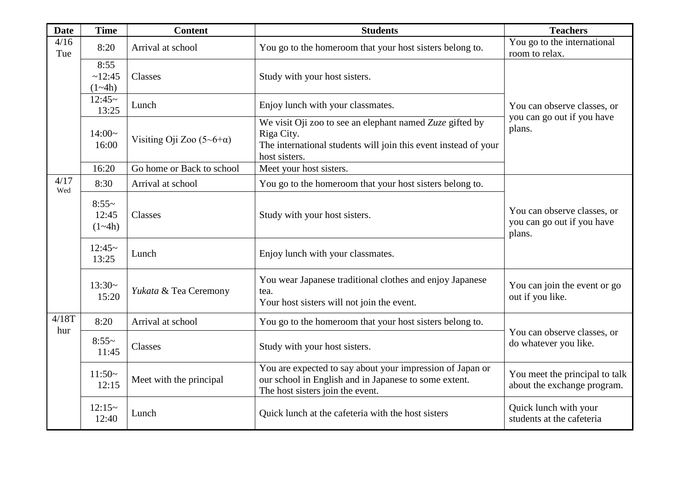| <b>Date</b> | <b>Time</b>                                     | <b>Content</b>            | <b>Students</b>                                                                                                                                               | <b>Teachers</b>                                               |  |
|-------------|-------------------------------------------------|---------------------------|---------------------------------------------------------------------------------------------------------------------------------------------------------------|---------------------------------------------------------------|--|
| 4/16<br>Tue | 8:20                                            | Arrival at school         | You go to the homeroom that your host sisters belong to.                                                                                                      | You go to the international<br>room to relax.                 |  |
|             | 8:55<br>~12:45<br>$(1 - 4h)$                    | Classes                   | Study with your host sisters.                                                                                                                                 |                                                               |  |
|             | $12:45-$<br>13:25                               | Lunch                     | Enjoy lunch with your classmates.                                                                                                                             | You can observe classes, or                                   |  |
|             | $14:00-$<br>Visiting Oji Zoo $(5-6+a)$<br>16:00 |                           | We visit Oji zoo to see an elephant named $Zuz$ e gifted by<br>Riga City.<br>The international students will join this event instead of your<br>host sisters. | you can go out if you have<br>plans.                          |  |
|             | 16:20                                           | Go home or Back to school | Meet your host sisters.                                                                                                                                       |                                                               |  |
| 4/17<br>Wed | 8:30                                            | Arrival at school         | You go to the homeroom that your host sisters belong to.                                                                                                      |                                                               |  |
|             | $8:55-$<br>12:45<br>Classes<br>$(1-4h)$         |                           | You can observe classes, or<br>Study with your host sisters.<br>you can go out if you have<br>plans.                                                          |                                                               |  |
|             | $12:45-$<br>13:25                               | Lunch                     | Enjoy lunch with your classmates.                                                                                                                             |                                                               |  |
|             | $13:30-$<br>15:20                               | Yukata & Tea Ceremony     | You wear Japanese traditional clothes and enjoy Japanese<br>tea.<br>Your host sisters will not join the event.                                                | You can join the event or go<br>out if you like.              |  |
| 4/18T       | 8:20                                            | Arrival at school         | You go to the homeroom that your host sisters belong to.                                                                                                      |                                                               |  |
| hur         | $8:55-$<br>11:45                                | Classes                   | Study with your host sisters.                                                                                                                                 | You can observe classes, or<br>do whatever you like.          |  |
|             | $11:50-$<br>12:15                               | Meet with the principal   | You are expected to say about your impression of Japan or<br>our school in English and in Japanese to some extent.<br>The host sisters join the event.        | You meet the principal to talk<br>about the exchange program. |  |
|             | $12:15-$<br>12:40                               | Lunch                     | Quick lunch at the cafeteria with the host sisters                                                                                                            | Quick lunch with your<br>students at the cafeteria            |  |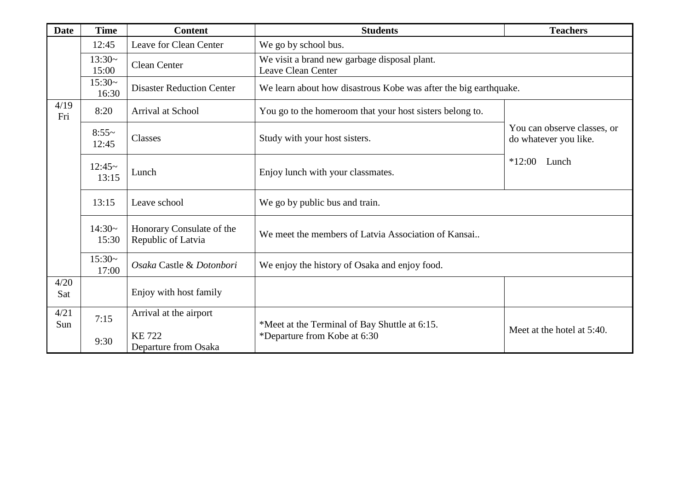| <b>Date</b>                                                                         | <b>Time</b>                                                                                                                 | <b>Content</b>                                                                            | <b>Students</b>                                                  | <b>Teachers</b>                                      |  |  |  |
|-------------------------------------------------------------------------------------|-----------------------------------------------------------------------------------------------------------------------------|-------------------------------------------------------------------------------------------|------------------------------------------------------------------|------------------------------------------------------|--|--|--|
|                                                                                     | Leave for Clean Center<br>12:45                                                                                             |                                                                                           | We go by school bus.                                             |                                                      |  |  |  |
|                                                                                     | $13:30-$<br>15:00                                                                                                           | We visit a brand new garbage disposal plant.<br><b>Clean Center</b><br>Leave Clean Center |                                                                  |                                                      |  |  |  |
|                                                                                     | $15:30-$<br>16:30                                                                                                           | <b>Disaster Reduction Center</b>                                                          | We learn about how disastrous Kobe was after the big earthquake. |                                                      |  |  |  |
| 4/19<br>Fri                                                                         | 8:20                                                                                                                        | Arrival at School                                                                         | You go to the homeroom that your host sisters belong to.         |                                                      |  |  |  |
|                                                                                     | $8:55-$<br>12:45                                                                                                            | Classes                                                                                   | Study with your host sisters.                                    | You can observe classes, or<br>do whatever you like. |  |  |  |
| $12:45-$<br>Lunch<br>13:15                                                          |                                                                                                                             |                                                                                           | Enjoy lunch with your classmates.                                | $*12:00$ Lunch                                       |  |  |  |
|                                                                                     | 13:15                                                                                                                       | Leave school<br>We go by public bus and train.                                            |                                                                  |                                                      |  |  |  |
|                                                                                     | $14:30-$<br>Honorary Consulate of the<br>We meet the members of Latvia Association of Kansai<br>Republic of Latvia<br>15:30 |                                                                                           |                                                                  |                                                      |  |  |  |
|                                                                                     | $15:30-$<br>Osaka Castle & Dotonbori<br>17:00                                                                               |                                                                                           | We enjoy the history of Osaka and enjoy food.                    |                                                      |  |  |  |
| 4/20<br>Sat                                                                         |                                                                                                                             | Enjoy with host family                                                                    |                                                                  |                                                      |  |  |  |
| 4/21                                                                                | 7:15                                                                                                                        | Arrival at the airport                                                                    |                                                                  |                                                      |  |  |  |
| Sun<br>*Departure from Kobe at 6:30<br><b>KE722</b><br>9:30<br>Departure from Osaka |                                                                                                                             | *Meet at the Terminal of Bay Shuttle at 6:15.                                             | Meet at the hotel at 5:40.                                       |                                                      |  |  |  |